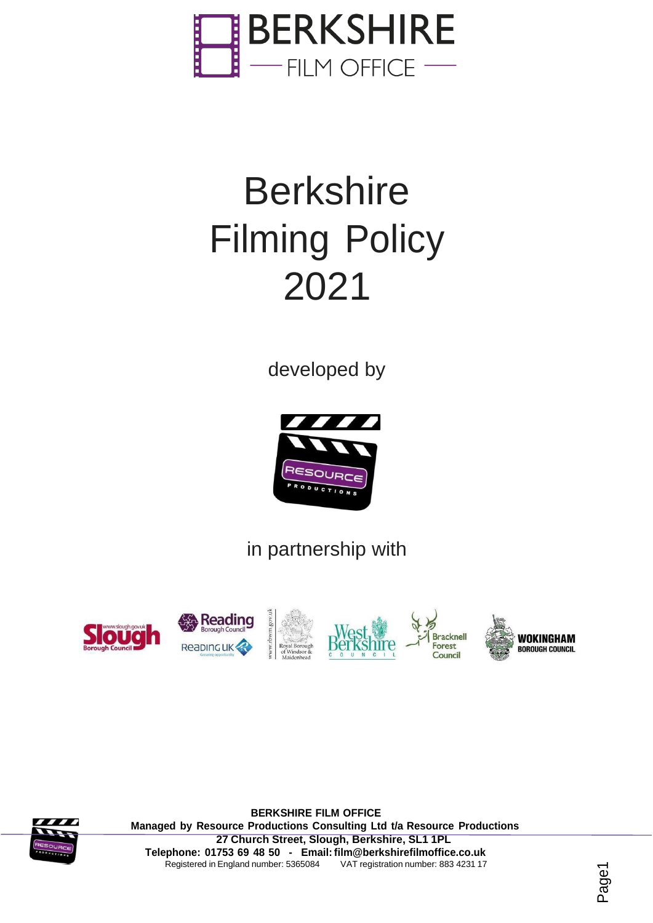

# **Berkshire** Filming Policy 2021

developed by



in partnership with





**BERKSHIRE FILM OFFICE Managed by Resource Productions Consulting Ltd t/a Resource Productions 27 Church Street, Slough, Berkshire, SL1 1PL Telephone: 01753 69 48 50 - Email: [film@berkshirefilmoffice.co.uk](mailto:film@berkshirefilmoffice.co.uk)** Registered in England number: 5365084 VAT registration number: 883 4231 17

Page1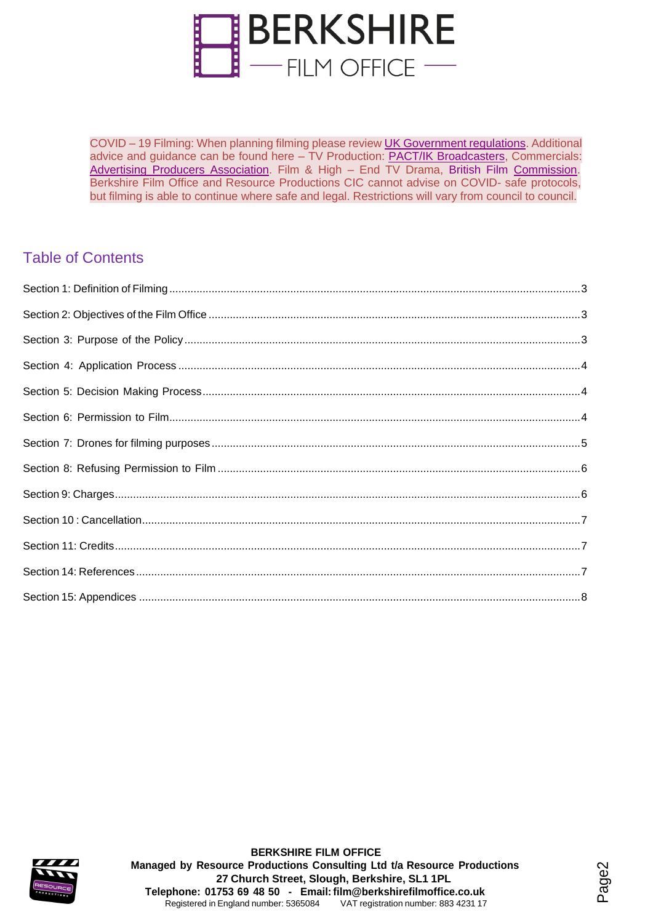

COVID – 19 Filming: When planning filming please review UK [Government](https://www.gov.uk/coronavirus) regulations. Additional advice and guidance can be found here – TV Production: [PACT/IK Broadcasters,](https://www.pact.co.uk/covid-19.html) Commercials: Advertising Producers [Association.](https://www.a-p-a.net/2020/04/news/updated-regularly/) Film & High - End TV Drama, [British](http://britishfilmcommission.org.uk/guidance/regarding-covid-19-coronavirus/) Film [Commission.](http://britishfilmcommission.org.uk/guidance/regarding-covid-19-coronavirus/) Berkshire Film Office and Resource Productions CIC cannot advise on COVID- safe protocols, but filming is able to continue where safe and legal. Restrictions will vary from council to council.

### Table of Contents



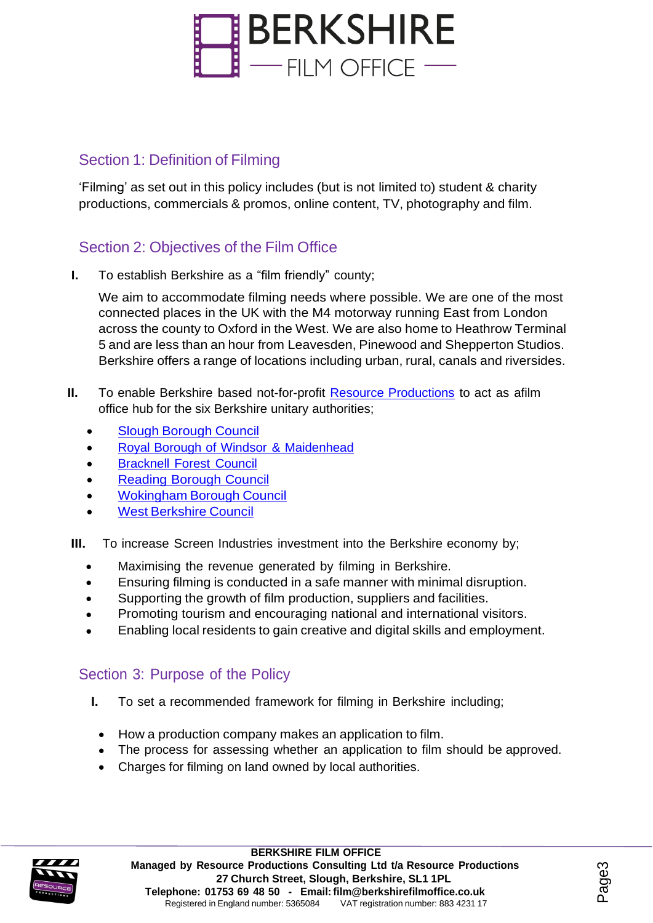

#### <span id="page-2-0"></span>Section 1: Definition of Filming

'Filming' as set out in this policy includes (but is not limited to) student & charity productions, commercials & promos, online content, TV, photography and film.

### <span id="page-2-1"></span>Section 2: Objectives of the Film Office

**I.** To establish Berkshire as a "film friendly" county;

We aim to accommodate filming needs where possible. We are one of the most connected places in the UK with the M4 motorway running East from London across the county to Oxford in the West. We are also home to Heathrow Terminal 5 and are less than an hour from Leavesden, Pinewood and Shepperton Studios. Berkshire offers a range of locations including urban, rural, canals and riversides.

- **II.** To enable Berkshire based not-for-profit **Resource [Productions](https://www.resource-productions.co.uk/)** to act as afilm office hub for the six Berkshire unitary authorities;
	- Slough [Borough](http://slough.gov.uk/) Council
	- Royal Borough of Windsor & [Maidenhead](https://www3.rbwm.gov.uk/)
	- [Bracknell](https://www.bracknell-forest.gov.uk/) Forest Council
	- Reading [Borough](http://www.reading.gov.uk/) Council
	- [Wokingham](https://www.wokingham.gov.uk/) Borough Council
	- West [Berkshire](https://www.westberks.gov.uk/) Council
- **III.** To increase Screen Industries investment into the Berkshire economy by:
	- Maximising the revenue generated by filming in Berkshire. •
	- Ensuring filming is conducted in a safe manner with minimal disruption. •
	- Supporting the growth of film production, suppliers and facilities. •
	- Promoting tourism and encouraging national and international visitors. •
	- Enabling local residents to gain creative and digital skills and employment. •

#### <span id="page-2-2"></span>Section 3: Purpose of the Policy

- **I.** To set a recommended framework for filming in Berkshire including;
	- How a production company makes an application to film.
	- The process for assessing whether an application to film should be approved.
	- Charges for filming on land owned by local authorities.



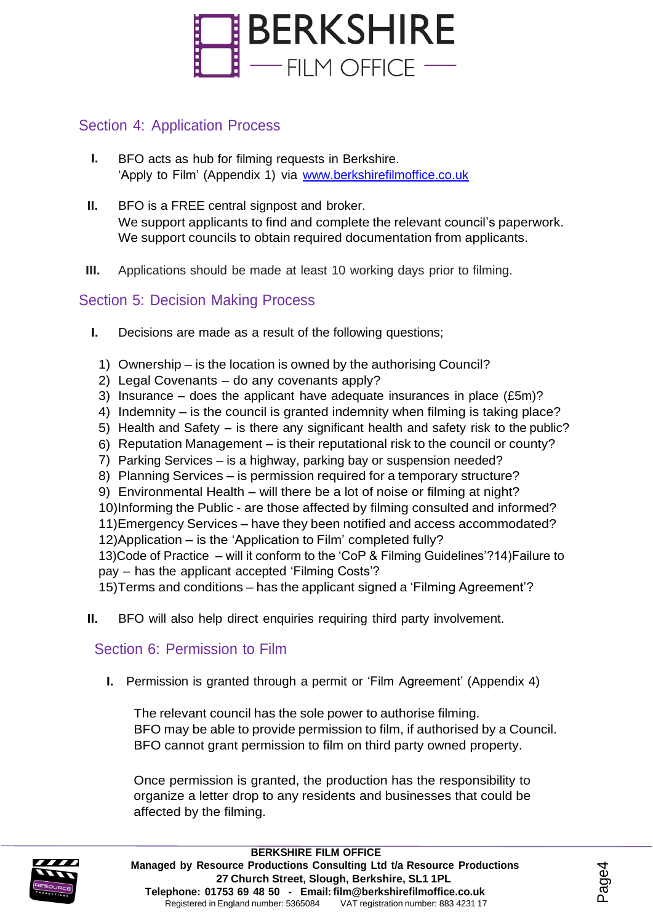

#### <span id="page-3-0"></span>Section 4: Application Process

- **I.** BFO acts as hub for filming requests in Berkshire. 'Apply to Film' (Appendix 1) via [www.berkshirefilmoffice.co.uk](http://www.berkshirefilmoffice.co.uk/)
- **II.** BFO is a FREE central signpost and broker. We support applicants to find and complete the relevant council's paperwork. We support councils to obtain required documentation from applicants.
- **III.** Applications should be made at least 10 working days prior to filming.

#### <span id="page-3-1"></span>Section 5: Decision Making Process

- **I.** Decisions are made as a result of the following questions;
	- 1) Ownership is the location is owned by the authorising Council?
	- 2) Legal Covenants do any covenants apply?
	- 3) Insurance does the applicant have adequate insurances in place (£5m)?
	- 4) Indemnity is the council is granted indemnity when filming is taking place?
	- 5) Health and Safety is there any significant health and safety risk to the public?
	- 6) Reputation Management is their reputational risk to the council or county?
	- 7) Parking Services is a highway, parking bay or suspension needed?
	- 8) Planning Services is permission required for a temporary structure?
	- 9) Environmental Health will there be a lot of noise or filming at night?
	- 10)Informing the Public are those affected by filming consulted and informed?
	- 11)Emergency Services have they been notified and access accommodated?
	- 12)Application is the 'Application to Film' completed fully?

13)Code of Practice – will it conform to the 'CoP & Filming Guidelines'?14)Failure to pay – has the applicant accepted 'Filming Costs'?

15)Terms and conditions – has the applicant signed a 'Filming Agreement'?

**II.** BFO will also help direct enquiries requiring third party involvement.

#### <span id="page-3-2"></span>Section 6: Permission to Film

**I.** Permission is granted through a permit or 'Film Agreement' (Appendix 4)

The relevant council has the sole power to authorise filming. BFO may be able to provide permission to film, if authorised by a Council. BFO cannot grant permission to film on third party owned property.

Once permission is granted, the production has the responsibility to organize a letter drop to any residents and businesses that could be affected by the filming.

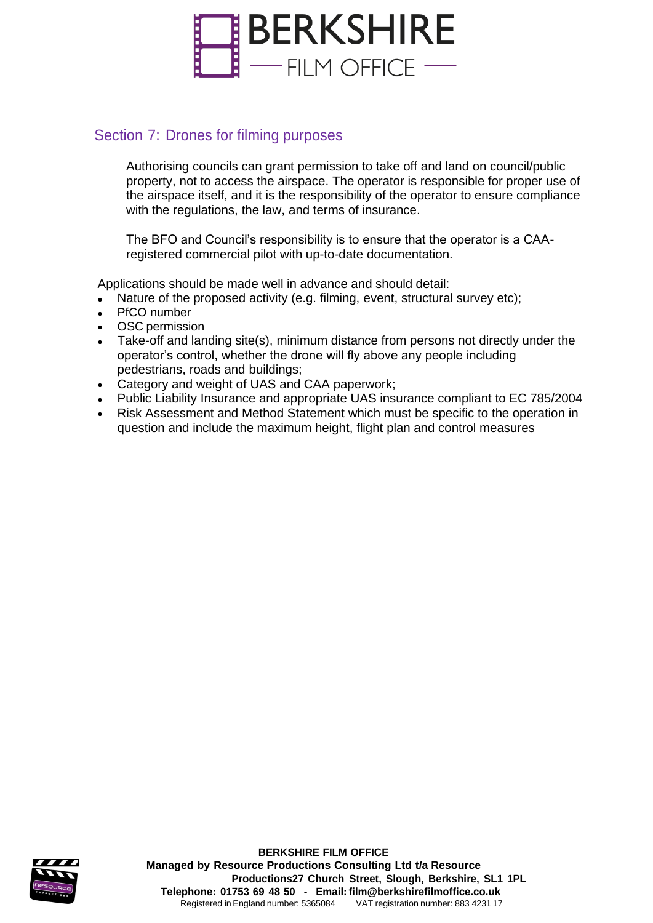

#### <span id="page-4-0"></span>Section 7: Drones for filming purposes

Authorising councils can grant permission to take off and land on council/public property, not to access the airspace. The operator is responsible for proper use of the airspace itself, and it is the responsibility of the operator to ensure compliance with the regulations, the law, and terms of insurance.

The BFO and Council's responsibility is to ensure that the operator is a CAAregistered commercial pilot with up-to-date documentation.

Applications should be made well in advance and should detail:

- Nature of the proposed activity (e.g. filming, event, structural survey etc);
- PfCO number
- OSC permission
- Take-off and landing site(s), minimum distance from persons not directly under the operator's control, whether the drone will fly above any people including pedestrians, roads and buildings;
- Category and weight of UAS and CAA paperwork; •
- Public Liability Insurance and appropriate UAS insurance compliant to EC 785/2004
- Risk Assessment and Method Statement which must be specific to the operation in question and include the maximum height, flight plan and control measures •

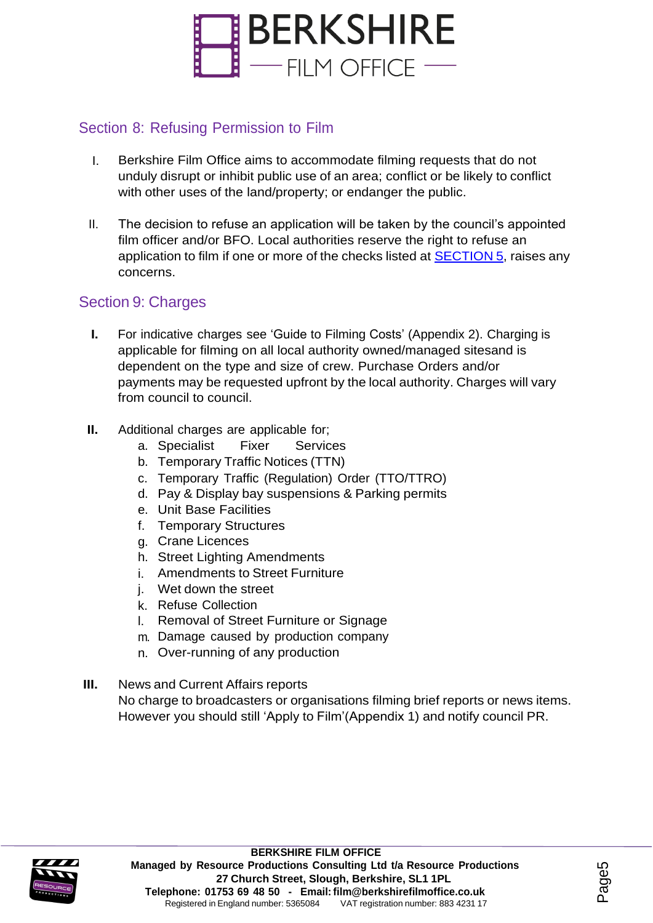

#### <span id="page-5-0"></span>Section 8: Refusing Permission to Film

- I. Berkshire Film Office aims to accommodate filming requests that do not unduly disrupt or inhibit public use of an area; conflict or be likely to conflict with other uses of the land/property; or endanger the public.
- II. The decision to refuse an application will be taken by the council's appointed film officer and/or BFO. Local authorities reserve the right to refuse an application to film if one or more of the checks listed at **SECTION 5**, raises any concerns.

#### <span id="page-5-1"></span>Section 9: Charges

- **I.** For indicative charges see 'Guide to Filming Costs' (Appendix 2). Charging is applicable for filming on all local authority owned/managed sitesand is dependent on the type and size of crew. Purchase Orders and/or payments may be requested upfront by the local authority. Charges will vary from council to council.
- **II.** Additional charges are applicable for;
	- a. Specialist Fixer Services
	- b. Temporary Traffic Notices (TTN)
	- c. Temporary Traffic (Regulation) Order (TTO/TTRO)
	- d. Pay & Display bay suspensions & Parking permits
	- e. Unit Base Facilities
	- f. Temporary Structures
	- g. Crane Licences
	- h. Street Lighting Amendments
	- i. Amendments to Street Furniture
	- j. Wet down the street
	- k. Refuse Collection
	- l. Removal of Street Furniture or Signage
	- m. Damage caused by production company
	- n. Over-running of any production
- **III.** News and Current Affairs reports No charge to broadcasters or organisations filming brief reports or news items. However you should still 'Apply to Film'(Appendix 1) and notify council PR.

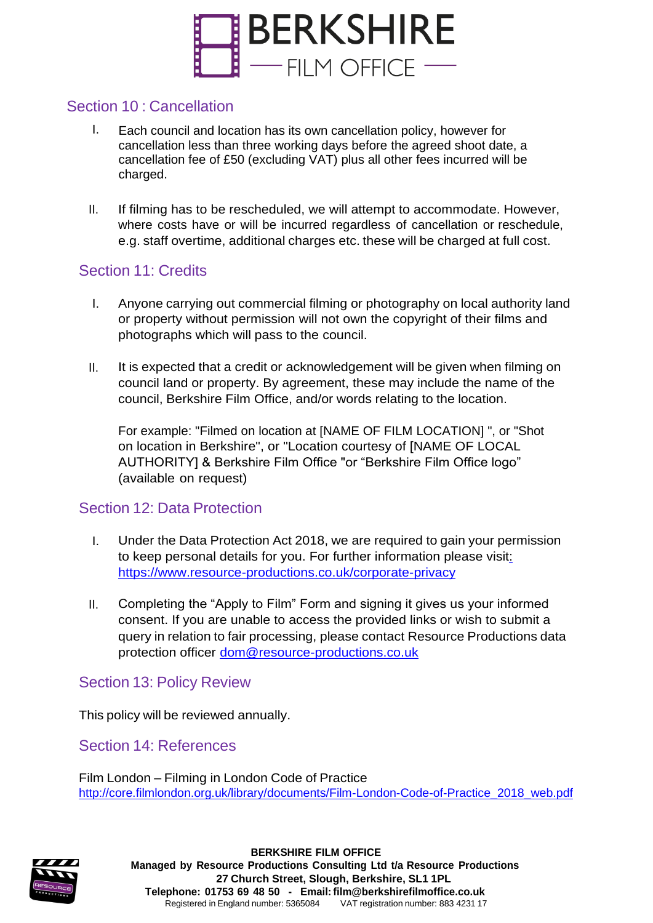

#### <span id="page-6-0"></span>Section 10 : Cancellation

- I. Each council and location has its own cancellation policy, however for cancellation less than three working days before the agreed shoot date, a cancellation fee of £50 (excluding VAT) plus all other fees incurred will be charged.
- II. If filming has to be rescheduled, we will attempt to accommodate. However, where costs have or will be incurred regardless of cancellation or reschedule, e.g. staff overtime, additional charges etc. these will be charged at full cost.

#### <span id="page-6-1"></span>Section 11: Credits

- I. Anyone carrying out commercial filming or photography on local authority land or property without permission will not own the copyright of their films and photographs which will pass to the council.
- II. It is expected that a credit or acknowledgement will be given when filming on council land or property. By agreement, these may include the name of the council, Berkshire Film Office, and/or words relating to the location.

For example: "Filmed on location at [NAME OF FILM LOCATION] ", or "Shot on location in Berkshire", or "Location courtesy of [NAME OF LOCAL AUTHORITY] & Berkshire Film Office "or "Berkshire Film Office logo" (available on request)

#### Section 12: Data Protection

- I. Under the Data Protection Act 2018, we are required to gain your permission to keep personal details for you. For further information please visit: <https://www.resource-productions.co.uk/corporate-privacy>
- II. Completing the "Apply to Film" Form and signing it gives us your informed consent. If you are unable to access the provided links or wish to submit a query in relation to fair processing, please contact Resource Productions data protection officer [dom@resource-productions.co.uk](mailto:dom@resource-productions.co.uk)

#### Section 13: Policy Review

This policy will be reviewed annually.

<span id="page-6-2"></span>Section 14: References

Film London – Filming in London Code of Practice [http://core.filmlondon.org.uk/library/documents/Film-London-Code-of-Practice\\_2018\\_web.pdf](http://core.filmlondon.org.uk/library/documents/Film-London-Code-of-Practice_2018_web.pdf)

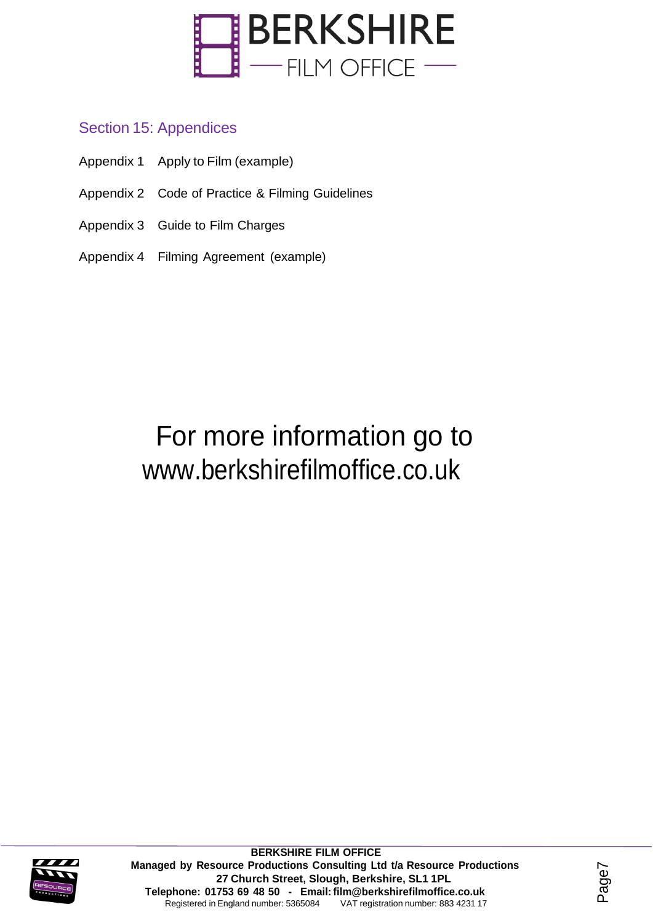

#### <span id="page-7-0"></span>Section 15: Appendices

- Appendix 1 Apply to Film (example)
- Appendix 2 Code of Practice & Filming Guidelines
- Appendix 3 Guide to Film Charges
- Appendix 4 Filming Agreement (example)

## For more information go to [www.berkshirefilmoffice.co.uk](http://www.berkshirefilmoffice.co.uk/)



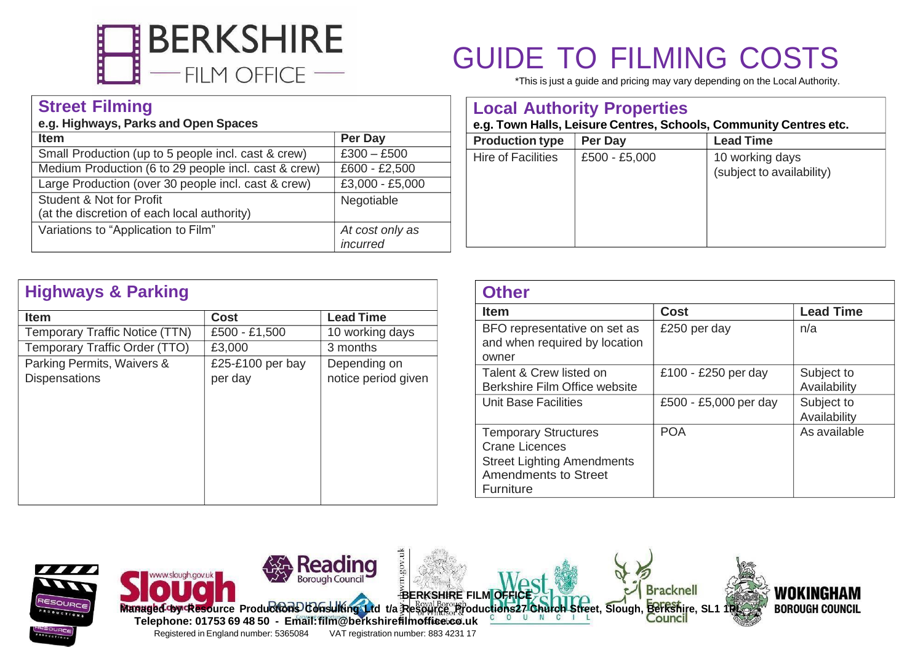

#### **Street Filming**

#### **e.g. Highways, Parks and Open Spaces**

| <b>Item</b>                                          | Per Day         |
|------------------------------------------------------|-----------------|
| Small Production (up to 5 people incl. cast & crew)  | $£300 - £500$   |
| Medium Production (6 to 29 people incl. cast & crew) | £600 - £2,500   |
| Large Production (over 30 people incl. cast & crew)  | £3,000 - £5,000 |
| <b>Student &amp; Not for Profit</b>                  | Negotiable      |
| (at the discretion of each local authority)          |                 |
| Variations to "Application to Film"                  | At cost only as |
|                                                      | incurred        |

|  |  | <b>GUIDE TO FILMING COSTS</b> |  |
|--|--|-------------------------------|--|
|--|--|-------------------------------|--|

\*This is just a guide and pricing may vary depending on the Local Authority.

|                           | <b>Local Authority Properties</b> | e.g. Town Halls, Leisure Centres, Schools, Community Centres etc. |
|---------------------------|-----------------------------------|-------------------------------------------------------------------|
| <b>Production type</b>    | Per Day                           | <b>Lead Time</b>                                                  |
| <b>Hire of Facilities</b> | £500 - £5,000                     | 10 working days<br>(subject to availability)                      |

| <b>Item</b>                                        | <b>Cost</b>                 | <b>Lead Time</b>                    |
|----------------------------------------------------|-----------------------------|-------------------------------------|
| Temporary Traffic Notice (TTN)                     | £500 - £1,500               | 10 working days                     |
| Temporary Traffic Order (TTO)                      | £3,000                      | 3 months                            |
| Parking Permits, Waivers &<br><b>Dispensations</b> | £25-£100 per bay<br>per day | Depending on<br>notice period given |
|                                                    |                             |                                     |

| <b>Other</b>                                                                                                                                 |                       |                            |
|----------------------------------------------------------------------------------------------------------------------------------------------|-----------------------|----------------------------|
| <b>Item</b>                                                                                                                                  | <b>Cost</b>           | <b>Lead Time</b>           |
| BFO representative on set as<br>and when required by location<br>owner                                                                       | £250 per day          | n/a                        |
| Talent & Crew listed on<br>Berkshire Film Office website                                                                                     | £100 - £250 per day   | Subject to<br>Availability |
| Unit Base Facilities                                                                                                                         | £500 - £5,000 per day | Subject to<br>Availability |
| <b>Temporary Structures</b><br><b>Crane Licences</b><br><b>Street Lighting Amendments</b><br><b>Amendments to Street</b><br><b>Furniture</b> | <b>POA</b>            | As available               |

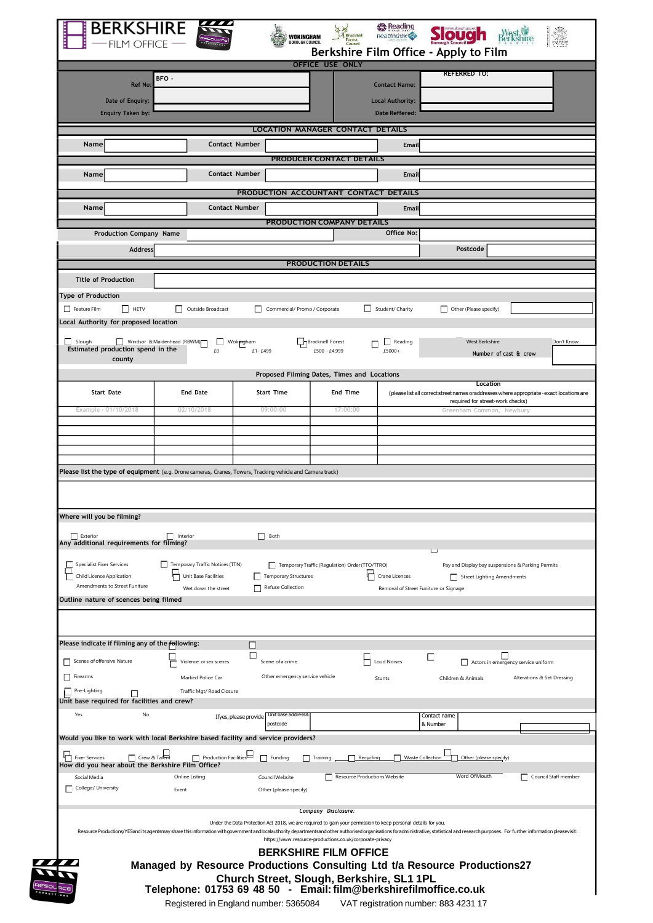| Berkshire Film Office - Apply to Film<br><b>OFFICE USE ONLY</b><br><b>REFERRED TO:</b><br>BFO-<br><b>Ref No:</b><br><b>Contact Name:</b><br>Date of Enquiry:<br><b>Local Authority:</b><br><b>Enquiry Taken by:</b><br><b>Date Reffered:</b><br><b>LOCATION MANAGER CONTACT DETAILS</b><br>Contact Number<br>Name<br><b>Email</b><br><b>PRODUCER CONTACT DETAILS</b><br>Contact Number<br>Name<br><b>Email</b><br>PRODUCTION ACCOUNTANT CONTACT DETAILS<br><b>Contact Number</b><br>Name<br><b>Email</b><br>PRODUCTION COMPANY DETAILS<br>Office No:<br><b>Production Company Name</b><br>Postcode<br><b>Address</b><br><b>PRODUCTION DETAILS</b><br><b>Title of Production</b><br><b>Type of Production</b><br>Outside Broadcast<br>$\Box$ HETV<br>Student/ Charity<br>Feature Film<br>Commercial/ Promo / Corporate<br>Other (Please specify)<br>Local Authority for proposed location<br>Slough<br>Windsor & Maidenhead (RBWM)<br>Bracknell Forest<br><b>West Berkshire</b><br>Wokingham<br>Reading<br>П<br>Estimated production spend in the<br>£0<br>£1-£499<br>£500 - £4,999<br>£5000+<br>Number of cast & crew<br>county<br>Proposed Filming Dates, Times and Locations<br>Location<br><b>Start Time</b><br>End Time<br><b>Start Date</b><br><b>End Date</b><br>required for street-work checks)<br>09:00:00<br>17:00:00<br>Example - 01/10/2018<br>02/10/2018<br>Greenham Common, Newbury<br>Please list the type of equipment (e.g. Drone cameras, Cranes, Towers, Tracking vehicle and Camera track)<br>Where will you be filming?<br>Exterior<br>Interior<br>Both<br>Any additional requirements for filming?<br>Temporary Traffic Notices (TTN)<br><b>Specialist Fixer Services</b><br>Temporary Traffic (Regulation) Order (TTO/TTRO)<br>Pay and Display bay suspensions & Parking Permits<br><b>Temporary Structures</b><br><b>Child Licence Application</b><br>Unit Base Facilities<br>Crane Licences<br>Street Lighting Amendments<br>Amendments to Street Funiture<br>Refuse Collection<br>Wet down the street<br>Removal of Street Funiture or Signage<br>Outline nature of scences being filmed<br>Please indicate if filming any of the following:<br>ш<br>П<br>□<br>ப<br>Scenes of offensive Nature<br>Violence or sex scenes<br>Scene of a crime<br><b>Loud Noises</b><br>Actors in emergency service uniform<br>Other emergency service vehicle<br>Firearms<br>Marked Police Car<br>Stunts<br>Children & Animals<br>Pre-Lighting<br>Traffic Mgt/Road Closure<br>Unit base required for facilities and crew?<br>Yes<br>No<br>Unit base addressi<br>Contact name<br>Ifyes, please provide<br>postcode<br>& Number<br>Would you like to work with local Berkshire based facility and service providers?<br>Crew & Talent<br>Production Facilities<br><b>十</b> Fixer Services<br>$\Box$ Training<br>Waste Collection<br>$\Box$ Funding<br>Recycling<br>Other (please specify)<br>How did you hear about the Berkshire Film Office?<br>Word Of Mouth<br>Resource Productions Website<br>Online Listing<br>Council Website<br>Social Media<br>College/ University<br>Other (please specify)<br>Event<br>Company Disclosure:<br>Under the Data Protection Act 2018, we are required to gain your permission to keep personal details for you.<br>https://www.resource-productions.co.uk/corporate-privacy<br><b>BERKSHIRE FILM OFFICE</b><br>Managed by Resource Productions Consulting Ltd t/a Resource Productions27<br>Church Street, Slough, Berkshire, SL1 1PL<br>Telephone: 01753 69 48 50 - Email: film@berkshirefilmoffice.co.uk | <b>FILM OFFICE</b> | WOKINGHAM<br><b>SOROUGH COUNCIL</b> | Reading the Life |  |
|----------------------------------------------------------------------------------------------------------------------------------------------------------------------------------------------------------------------------------------------------------------------------------------------------------------------------------------------------------------------------------------------------------------------------------------------------------------------------------------------------------------------------------------------------------------------------------------------------------------------------------------------------------------------------------------------------------------------------------------------------------------------------------------------------------------------------------------------------------------------------------------------------------------------------------------------------------------------------------------------------------------------------------------------------------------------------------------------------------------------------------------------------------------------------------------------------------------------------------------------------------------------------------------------------------------------------------------------------------------------------------------------------------------------------------------------------------------------------------------------------------------------------------------------------------------------------------------------------------------------------------------------------------------------------------------------------------------------------------------------------------------------------------------------------------------------------------------------------------------------------------------------------------------------------------------------------------------------------------------------------------------------------------------------------------------------------------------------------------------------------------------------------------------------------------------------------------------------------------------------------------------------------------------------------------------------------------------------------------------------------------------------------------------------------------------------------------------------------------------------------------------------------------------------------------------------------------------------------------------------------------------------------------------------------------------------------------------------------------------------------------------------------------------------------------------------------------------------------------------------------------------------------------------------------------------------------------------------------------------------------------------------------------------------------------------------------------------------------------------------------------------------------------------------------------------------------------------------------------------------------------------------------------------------------------------------------------------------------------------------------------------------------------------------------------------------------------------------------------------------------------------------------------------------------------|--------------------|-------------------------------------|------------------|--|
|                                                                                                                                                                                                                                                                                                                                                                                                                                                                                                                                                                                                                                                                                                                                                                                                                                                                                                                                                                                                                                                                                                                                                                                                                                                                                                                                                                                                                                                                                                                                                                                                                                                                                                                                                                                                                                                                                                                                                                                                                                                                                                                                                                                                                                                                                                                                                                                                                                                                                                                                                                                                                                                                                                                                                                                                                                                                                                                                                                                                                                                                                                                                                                                                                                                                                                                                                                                                                                                                                                                                                          |                    |                                     |                  |  |
|                                                                                                                                                                                                                                                                                                                                                                                                                                                                                                                                                                                                                                                                                                                                                                                                                                                                                                                                                                                                                                                                                                                                                                                                                                                                                                                                                                                                                                                                                                                                                                                                                                                                                                                                                                                                                                                                                                                                                                                                                                                                                                                                                                                                                                                                                                                                                                                                                                                                                                                                                                                                                                                                                                                                                                                                                                                                                                                                                                                                                                                                                                                                                                                                                                                                                                                                                                                                                                                                                                                                                          |                    |                                     |                  |  |
|                                                                                                                                                                                                                                                                                                                                                                                                                                                                                                                                                                                                                                                                                                                                                                                                                                                                                                                                                                                                                                                                                                                                                                                                                                                                                                                                                                                                                                                                                                                                                                                                                                                                                                                                                                                                                                                                                                                                                                                                                                                                                                                                                                                                                                                                                                                                                                                                                                                                                                                                                                                                                                                                                                                                                                                                                                                                                                                                                                                                                                                                                                                                                                                                                                                                                                                                                                                                                                                                                                                                                          |                    |                                     |                  |  |
| Don't Know<br>(please list all correct street names oraddresses where appropriate - exact locations are<br>Alterations & Set Dressing<br>Council Staff member                                                                                                                                                                                                                                                                                                                                                                                                                                                                                                                                                                                                                                                                                                                                                                                                                                                                                                                                                                                                                                                                                                                                                                                                                                                                                                                                                                                                                                                                                                                                                                                                                                                                                                                                                                                                                                                                                                                                                                                                                                                                                                                                                                                                                                                                                                                                                                                                                                                                                                                                                                                                                                                                                                                                                                                                                                                                                                                                                                                                                                                                                                                                                                                                                                                                                                                                                                                            |                    |                                     |                  |  |
|                                                                                                                                                                                                                                                                                                                                                                                                                                                                                                                                                                                                                                                                                                                                                                                                                                                                                                                                                                                                                                                                                                                                                                                                                                                                                                                                                                                                                                                                                                                                                                                                                                                                                                                                                                                                                                                                                                                                                                                                                                                                                                                                                                                                                                                                                                                                                                                                                                                                                                                                                                                                                                                                                                                                                                                                                                                                                                                                                                                                                                                                                                                                                                                                                                                                                                                                                                                                                                                                                                                                                          |                    |                                     |                  |  |
|                                                                                                                                                                                                                                                                                                                                                                                                                                                                                                                                                                                                                                                                                                                                                                                                                                                                                                                                                                                                                                                                                                                                                                                                                                                                                                                                                                                                                                                                                                                                                                                                                                                                                                                                                                                                                                                                                                                                                                                                                                                                                                                                                                                                                                                                                                                                                                                                                                                                                                                                                                                                                                                                                                                                                                                                                                                                                                                                                                                                                                                                                                                                                                                                                                                                                                                                                                                                                                                                                                                                                          |                    |                                     |                  |  |
|                                                                                                                                                                                                                                                                                                                                                                                                                                                                                                                                                                                                                                                                                                                                                                                                                                                                                                                                                                                                                                                                                                                                                                                                                                                                                                                                                                                                                                                                                                                                                                                                                                                                                                                                                                                                                                                                                                                                                                                                                                                                                                                                                                                                                                                                                                                                                                                                                                                                                                                                                                                                                                                                                                                                                                                                                                                                                                                                                                                                                                                                                                                                                                                                                                                                                                                                                                                                                                                                                                                                                          |                    |                                     |                  |  |
|                                                                                                                                                                                                                                                                                                                                                                                                                                                                                                                                                                                                                                                                                                                                                                                                                                                                                                                                                                                                                                                                                                                                                                                                                                                                                                                                                                                                                                                                                                                                                                                                                                                                                                                                                                                                                                                                                                                                                                                                                                                                                                                                                                                                                                                                                                                                                                                                                                                                                                                                                                                                                                                                                                                                                                                                                                                                                                                                                                                                                                                                                                                                                                                                                                                                                                                                                                                                                                                                                                                                                          |                    |                                     |                  |  |
|                                                                                                                                                                                                                                                                                                                                                                                                                                                                                                                                                                                                                                                                                                                                                                                                                                                                                                                                                                                                                                                                                                                                                                                                                                                                                                                                                                                                                                                                                                                                                                                                                                                                                                                                                                                                                                                                                                                                                                                                                                                                                                                                                                                                                                                                                                                                                                                                                                                                                                                                                                                                                                                                                                                                                                                                                                                                                                                                                                                                                                                                                                                                                                                                                                                                                                                                                                                                                                                                                                                                                          |                    |                                     |                  |  |
|                                                                                                                                                                                                                                                                                                                                                                                                                                                                                                                                                                                                                                                                                                                                                                                                                                                                                                                                                                                                                                                                                                                                                                                                                                                                                                                                                                                                                                                                                                                                                                                                                                                                                                                                                                                                                                                                                                                                                                                                                                                                                                                                                                                                                                                                                                                                                                                                                                                                                                                                                                                                                                                                                                                                                                                                                                                                                                                                                                                                                                                                                                                                                                                                                                                                                                                                                                                                                                                                                                                                                          |                    |                                     |                  |  |
|                                                                                                                                                                                                                                                                                                                                                                                                                                                                                                                                                                                                                                                                                                                                                                                                                                                                                                                                                                                                                                                                                                                                                                                                                                                                                                                                                                                                                                                                                                                                                                                                                                                                                                                                                                                                                                                                                                                                                                                                                                                                                                                                                                                                                                                                                                                                                                                                                                                                                                                                                                                                                                                                                                                                                                                                                                                                                                                                                                                                                                                                                                                                                                                                                                                                                                                                                                                                                                                                                                                                                          |                    |                                     |                  |  |
|                                                                                                                                                                                                                                                                                                                                                                                                                                                                                                                                                                                                                                                                                                                                                                                                                                                                                                                                                                                                                                                                                                                                                                                                                                                                                                                                                                                                                                                                                                                                                                                                                                                                                                                                                                                                                                                                                                                                                                                                                                                                                                                                                                                                                                                                                                                                                                                                                                                                                                                                                                                                                                                                                                                                                                                                                                                                                                                                                                                                                                                                                                                                                                                                                                                                                                                                                                                                                                                                                                                                                          |                    |                                     |                  |  |
|                                                                                                                                                                                                                                                                                                                                                                                                                                                                                                                                                                                                                                                                                                                                                                                                                                                                                                                                                                                                                                                                                                                                                                                                                                                                                                                                                                                                                                                                                                                                                                                                                                                                                                                                                                                                                                                                                                                                                                                                                                                                                                                                                                                                                                                                                                                                                                                                                                                                                                                                                                                                                                                                                                                                                                                                                                                                                                                                                                                                                                                                                                                                                                                                                                                                                                                                                                                                                                                                                                                                                          |                    |                                     |                  |  |
|                                                                                                                                                                                                                                                                                                                                                                                                                                                                                                                                                                                                                                                                                                                                                                                                                                                                                                                                                                                                                                                                                                                                                                                                                                                                                                                                                                                                                                                                                                                                                                                                                                                                                                                                                                                                                                                                                                                                                                                                                                                                                                                                                                                                                                                                                                                                                                                                                                                                                                                                                                                                                                                                                                                                                                                                                                                                                                                                                                                                                                                                                                                                                                                                                                                                                                                                                                                                                                                                                                                                                          |                    |                                     |                  |  |
|                                                                                                                                                                                                                                                                                                                                                                                                                                                                                                                                                                                                                                                                                                                                                                                                                                                                                                                                                                                                                                                                                                                                                                                                                                                                                                                                                                                                                                                                                                                                                                                                                                                                                                                                                                                                                                                                                                                                                                                                                                                                                                                                                                                                                                                                                                                                                                                                                                                                                                                                                                                                                                                                                                                                                                                                                                                                                                                                                                                                                                                                                                                                                                                                                                                                                                                                                                                                                                                                                                                                                          |                    |                                     |                  |  |
|                                                                                                                                                                                                                                                                                                                                                                                                                                                                                                                                                                                                                                                                                                                                                                                                                                                                                                                                                                                                                                                                                                                                                                                                                                                                                                                                                                                                                                                                                                                                                                                                                                                                                                                                                                                                                                                                                                                                                                                                                                                                                                                                                                                                                                                                                                                                                                                                                                                                                                                                                                                                                                                                                                                                                                                                                                                                                                                                                                                                                                                                                                                                                                                                                                                                                                                                                                                                                                                                                                                                                          |                    |                                     |                  |  |
|                                                                                                                                                                                                                                                                                                                                                                                                                                                                                                                                                                                                                                                                                                                                                                                                                                                                                                                                                                                                                                                                                                                                                                                                                                                                                                                                                                                                                                                                                                                                                                                                                                                                                                                                                                                                                                                                                                                                                                                                                                                                                                                                                                                                                                                                                                                                                                                                                                                                                                                                                                                                                                                                                                                                                                                                                                                                                                                                                                                                                                                                                                                                                                                                                                                                                                                                                                                                                                                                                                                                                          |                    |                                     |                  |  |
|                                                                                                                                                                                                                                                                                                                                                                                                                                                                                                                                                                                                                                                                                                                                                                                                                                                                                                                                                                                                                                                                                                                                                                                                                                                                                                                                                                                                                                                                                                                                                                                                                                                                                                                                                                                                                                                                                                                                                                                                                                                                                                                                                                                                                                                                                                                                                                                                                                                                                                                                                                                                                                                                                                                                                                                                                                                                                                                                                                                                                                                                                                                                                                                                                                                                                                                                                                                                                                                                                                                                                          |                    |                                     |                  |  |
|                                                                                                                                                                                                                                                                                                                                                                                                                                                                                                                                                                                                                                                                                                                                                                                                                                                                                                                                                                                                                                                                                                                                                                                                                                                                                                                                                                                                                                                                                                                                                                                                                                                                                                                                                                                                                                                                                                                                                                                                                                                                                                                                                                                                                                                                                                                                                                                                                                                                                                                                                                                                                                                                                                                                                                                                                                                                                                                                                                                                                                                                                                                                                                                                                                                                                                                                                                                                                                                                                                                                                          |                    |                                     |                  |  |
|                                                                                                                                                                                                                                                                                                                                                                                                                                                                                                                                                                                                                                                                                                                                                                                                                                                                                                                                                                                                                                                                                                                                                                                                                                                                                                                                                                                                                                                                                                                                                                                                                                                                                                                                                                                                                                                                                                                                                                                                                                                                                                                                                                                                                                                                                                                                                                                                                                                                                                                                                                                                                                                                                                                                                                                                                                                                                                                                                                                                                                                                                                                                                                                                                                                                                                                                                                                                                                                                                                                                                          |                    |                                     |                  |  |
|                                                                                                                                                                                                                                                                                                                                                                                                                                                                                                                                                                                                                                                                                                                                                                                                                                                                                                                                                                                                                                                                                                                                                                                                                                                                                                                                                                                                                                                                                                                                                                                                                                                                                                                                                                                                                                                                                                                                                                                                                                                                                                                                                                                                                                                                                                                                                                                                                                                                                                                                                                                                                                                                                                                                                                                                                                                                                                                                                                                                                                                                                                                                                                                                                                                                                                                                                                                                                                                                                                                                                          |                    |                                     |                  |  |
|                                                                                                                                                                                                                                                                                                                                                                                                                                                                                                                                                                                                                                                                                                                                                                                                                                                                                                                                                                                                                                                                                                                                                                                                                                                                                                                                                                                                                                                                                                                                                                                                                                                                                                                                                                                                                                                                                                                                                                                                                                                                                                                                                                                                                                                                                                                                                                                                                                                                                                                                                                                                                                                                                                                                                                                                                                                                                                                                                                                                                                                                                                                                                                                                                                                                                                                                                                                                                                                                                                                                                          |                    |                                     |                  |  |
|                                                                                                                                                                                                                                                                                                                                                                                                                                                                                                                                                                                                                                                                                                                                                                                                                                                                                                                                                                                                                                                                                                                                                                                                                                                                                                                                                                                                                                                                                                                                                                                                                                                                                                                                                                                                                                                                                                                                                                                                                                                                                                                                                                                                                                                                                                                                                                                                                                                                                                                                                                                                                                                                                                                                                                                                                                                                                                                                                                                                                                                                                                                                                                                                                                                                                                                                                                                                                                                                                                                                                          |                    |                                     |                  |  |
|                                                                                                                                                                                                                                                                                                                                                                                                                                                                                                                                                                                                                                                                                                                                                                                                                                                                                                                                                                                                                                                                                                                                                                                                                                                                                                                                                                                                                                                                                                                                                                                                                                                                                                                                                                                                                                                                                                                                                                                                                                                                                                                                                                                                                                                                                                                                                                                                                                                                                                                                                                                                                                                                                                                                                                                                                                                                                                                                                                                                                                                                                                                                                                                                                                                                                                                                                                                                                                                                                                                                                          |                    |                                     |                  |  |
|                                                                                                                                                                                                                                                                                                                                                                                                                                                                                                                                                                                                                                                                                                                                                                                                                                                                                                                                                                                                                                                                                                                                                                                                                                                                                                                                                                                                                                                                                                                                                                                                                                                                                                                                                                                                                                                                                                                                                                                                                                                                                                                                                                                                                                                                                                                                                                                                                                                                                                                                                                                                                                                                                                                                                                                                                                                                                                                                                                                                                                                                                                                                                                                                                                                                                                                                                                                                                                                                                                                                                          |                    |                                     |                  |  |
|                                                                                                                                                                                                                                                                                                                                                                                                                                                                                                                                                                                                                                                                                                                                                                                                                                                                                                                                                                                                                                                                                                                                                                                                                                                                                                                                                                                                                                                                                                                                                                                                                                                                                                                                                                                                                                                                                                                                                                                                                                                                                                                                                                                                                                                                                                                                                                                                                                                                                                                                                                                                                                                                                                                                                                                                                                                                                                                                                                                                                                                                                                                                                                                                                                                                                                                                                                                                                                                                                                                                                          |                    |                                     |                  |  |
|                                                                                                                                                                                                                                                                                                                                                                                                                                                                                                                                                                                                                                                                                                                                                                                                                                                                                                                                                                                                                                                                                                                                                                                                                                                                                                                                                                                                                                                                                                                                                                                                                                                                                                                                                                                                                                                                                                                                                                                                                                                                                                                                                                                                                                                                                                                                                                                                                                                                                                                                                                                                                                                                                                                                                                                                                                                                                                                                                                                                                                                                                                                                                                                                                                                                                                                                                                                                                                                                                                                                                          |                    |                                     |                  |  |
|                                                                                                                                                                                                                                                                                                                                                                                                                                                                                                                                                                                                                                                                                                                                                                                                                                                                                                                                                                                                                                                                                                                                                                                                                                                                                                                                                                                                                                                                                                                                                                                                                                                                                                                                                                                                                                                                                                                                                                                                                                                                                                                                                                                                                                                                                                                                                                                                                                                                                                                                                                                                                                                                                                                                                                                                                                                                                                                                                                                                                                                                                                                                                                                                                                                                                                                                                                                                                                                                                                                                                          |                    |                                     |                  |  |
|                                                                                                                                                                                                                                                                                                                                                                                                                                                                                                                                                                                                                                                                                                                                                                                                                                                                                                                                                                                                                                                                                                                                                                                                                                                                                                                                                                                                                                                                                                                                                                                                                                                                                                                                                                                                                                                                                                                                                                                                                                                                                                                                                                                                                                                                                                                                                                                                                                                                                                                                                                                                                                                                                                                                                                                                                                                                                                                                                                                                                                                                                                                                                                                                                                                                                                                                                                                                                                                                                                                                                          |                    |                                     |                  |  |
|                                                                                                                                                                                                                                                                                                                                                                                                                                                                                                                                                                                                                                                                                                                                                                                                                                                                                                                                                                                                                                                                                                                                                                                                                                                                                                                                                                                                                                                                                                                                                                                                                                                                                                                                                                                                                                                                                                                                                                                                                                                                                                                                                                                                                                                                                                                                                                                                                                                                                                                                                                                                                                                                                                                                                                                                                                                                                                                                                                                                                                                                                                                                                                                                                                                                                                                                                                                                                                                                                                                                                          |                    |                                     |                  |  |
|                                                                                                                                                                                                                                                                                                                                                                                                                                                                                                                                                                                                                                                                                                                                                                                                                                                                                                                                                                                                                                                                                                                                                                                                                                                                                                                                                                                                                                                                                                                                                                                                                                                                                                                                                                                                                                                                                                                                                                                                                                                                                                                                                                                                                                                                                                                                                                                                                                                                                                                                                                                                                                                                                                                                                                                                                                                                                                                                                                                                                                                                                                                                                                                                                                                                                                                                                                                                                                                                                                                                                          |                    |                                     |                  |  |
|                                                                                                                                                                                                                                                                                                                                                                                                                                                                                                                                                                                                                                                                                                                                                                                                                                                                                                                                                                                                                                                                                                                                                                                                                                                                                                                                                                                                                                                                                                                                                                                                                                                                                                                                                                                                                                                                                                                                                                                                                                                                                                                                                                                                                                                                                                                                                                                                                                                                                                                                                                                                                                                                                                                                                                                                                                                                                                                                                                                                                                                                                                                                                                                                                                                                                                                                                                                                                                                                                                                                                          |                    |                                     |                  |  |
|                                                                                                                                                                                                                                                                                                                                                                                                                                                                                                                                                                                                                                                                                                                                                                                                                                                                                                                                                                                                                                                                                                                                                                                                                                                                                                                                                                                                                                                                                                                                                                                                                                                                                                                                                                                                                                                                                                                                                                                                                                                                                                                                                                                                                                                                                                                                                                                                                                                                                                                                                                                                                                                                                                                                                                                                                                                                                                                                                                                                                                                                                                                                                                                                                                                                                                                                                                                                                                                                                                                                                          |                    |                                     |                  |  |
|                                                                                                                                                                                                                                                                                                                                                                                                                                                                                                                                                                                                                                                                                                                                                                                                                                                                                                                                                                                                                                                                                                                                                                                                                                                                                                                                                                                                                                                                                                                                                                                                                                                                                                                                                                                                                                                                                                                                                                                                                                                                                                                                                                                                                                                                                                                                                                                                                                                                                                                                                                                                                                                                                                                                                                                                                                                                                                                                                                                                                                                                                                                                                                                                                                                                                                                                                                                                                                                                                                                                                          |                    |                                     |                  |  |
|                                                                                                                                                                                                                                                                                                                                                                                                                                                                                                                                                                                                                                                                                                                                                                                                                                                                                                                                                                                                                                                                                                                                                                                                                                                                                                                                                                                                                                                                                                                                                                                                                                                                                                                                                                                                                                                                                                                                                                                                                                                                                                                                                                                                                                                                                                                                                                                                                                                                                                                                                                                                                                                                                                                                                                                                                                                                                                                                                                                                                                                                                                                                                                                                                                                                                                                                                                                                                                                                                                                                                          |                    |                                     |                  |  |
|                                                                                                                                                                                                                                                                                                                                                                                                                                                                                                                                                                                                                                                                                                                                                                                                                                                                                                                                                                                                                                                                                                                                                                                                                                                                                                                                                                                                                                                                                                                                                                                                                                                                                                                                                                                                                                                                                                                                                                                                                                                                                                                                                                                                                                                                                                                                                                                                                                                                                                                                                                                                                                                                                                                                                                                                                                                                                                                                                                                                                                                                                                                                                                                                                                                                                                                                                                                                                                                                                                                                                          |                    |                                     |                  |  |
|                                                                                                                                                                                                                                                                                                                                                                                                                                                                                                                                                                                                                                                                                                                                                                                                                                                                                                                                                                                                                                                                                                                                                                                                                                                                                                                                                                                                                                                                                                                                                                                                                                                                                                                                                                                                                                                                                                                                                                                                                                                                                                                                                                                                                                                                                                                                                                                                                                                                                                                                                                                                                                                                                                                                                                                                                                                                                                                                                                                                                                                                                                                                                                                                                                                                                                                                                                                                                                                                                                                                                          |                    |                                     |                  |  |
|                                                                                                                                                                                                                                                                                                                                                                                                                                                                                                                                                                                                                                                                                                                                                                                                                                                                                                                                                                                                                                                                                                                                                                                                                                                                                                                                                                                                                                                                                                                                                                                                                                                                                                                                                                                                                                                                                                                                                                                                                                                                                                                                                                                                                                                                                                                                                                                                                                                                                                                                                                                                                                                                                                                                                                                                                                                                                                                                                                                                                                                                                                                                                                                                                                                                                                                                                                                                                                                                                                                                                          |                    |                                     |                  |  |
|                                                                                                                                                                                                                                                                                                                                                                                                                                                                                                                                                                                                                                                                                                                                                                                                                                                                                                                                                                                                                                                                                                                                                                                                                                                                                                                                                                                                                                                                                                                                                                                                                                                                                                                                                                                                                                                                                                                                                                                                                                                                                                                                                                                                                                                                                                                                                                                                                                                                                                                                                                                                                                                                                                                                                                                                                                                                                                                                                                                                                                                                                                                                                                                                                                                                                                                                                                                                                                                                                                                                                          |                    |                                     |                  |  |
|                                                                                                                                                                                                                                                                                                                                                                                                                                                                                                                                                                                                                                                                                                                                                                                                                                                                                                                                                                                                                                                                                                                                                                                                                                                                                                                                                                                                                                                                                                                                                                                                                                                                                                                                                                                                                                                                                                                                                                                                                                                                                                                                                                                                                                                                                                                                                                                                                                                                                                                                                                                                                                                                                                                                                                                                                                                                                                                                                                                                                                                                                                                                                                                                                                                                                                                                                                                                                                                                                                                                                          |                    |                                     |                  |  |
|                                                                                                                                                                                                                                                                                                                                                                                                                                                                                                                                                                                                                                                                                                                                                                                                                                                                                                                                                                                                                                                                                                                                                                                                                                                                                                                                                                                                                                                                                                                                                                                                                                                                                                                                                                                                                                                                                                                                                                                                                                                                                                                                                                                                                                                                                                                                                                                                                                                                                                                                                                                                                                                                                                                                                                                                                                                                                                                                                                                                                                                                                                                                                                                                                                                                                                                                                                                                                                                                                                                                                          |                    |                                     |                  |  |
| Resource Productions/YESand its agentsmay share this information with government and localauthority departmentsand other authorised organisations foradministrative, statistical and research purposes. For further informatio                                                                                                                                                                                                                                                                                                                                                                                                                                                                                                                                                                                                                                                                                                                                                                                                                                                                                                                                                                                                                                                                                                                                                                                                                                                                                                                                                                                                                                                                                                                                                                                                                                                                                                                                                                                                                                                                                                                                                                                                                                                                                                                                                                                                                                                                                                                                                                                                                                                                                                                                                                                                                                                                                                                                                                                                                                                                                                                                                                                                                                                                                                                                                                                                                                                                                                                           |                    |                                     |                  |  |
|                                                                                                                                                                                                                                                                                                                                                                                                                                                                                                                                                                                                                                                                                                                                                                                                                                                                                                                                                                                                                                                                                                                                                                                                                                                                                                                                                                                                                                                                                                                                                                                                                                                                                                                                                                                                                                                                                                                                                                                                                                                                                                                                                                                                                                                                                                                                                                                                                                                                                                                                                                                                                                                                                                                                                                                                                                                                                                                                                                                                                                                                                                                                                                                                                                                                                                                                                                                                                                                                                                                                                          |                    |                                     |                  |  |
|                                                                                                                                                                                                                                                                                                                                                                                                                                                                                                                                                                                                                                                                                                                                                                                                                                                                                                                                                                                                                                                                                                                                                                                                                                                                                                                                                                                                                                                                                                                                                                                                                                                                                                                                                                                                                                                                                                                                                                                                                                                                                                                                                                                                                                                                                                                                                                                                                                                                                                                                                                                                                                                                                                                                                                                                                                                                                                                                                                                                                                                                                                                                                                                                                                                                                                                                                                                                                                                                                                                                                          |                    |                                     |                  |  |
|                                                                                                                                                                                                                                                                                                                                                                                                                                                                                                                                                                                                                                                                                                                                                                                                                                                                                                                                                                                                                                                                                                                                                                                                                                                                                                                                                                                                                                                                                                                                                                                                                                                                                                                                                                                                                                                                                                                                                                                                                                                                                                                                                                                                                                                                                                                                                                                                                                                                                                                                                                                                                                                                                                                                                                                                                                                                                                                                                                                                                                                                                                                                                                                                                                                                                                                                                                                                                                                                                                                                                          |                    |                                     |                  |  |
|                                                                                                                                                                                                                                                                                                                                                                                                                                                                                                                                                                                                                                                                                                                                                                                                                                                                                                                                                                                                                                                                                                                                                                                                                                                                                                                                                                                                                                                                                                                                                                                                                                                                                                                                                                                                                                                                                                                                                                                                                                                                                                                                                                                                                                                                                                                                                                                                                                                                                                                                                                                                                                                                                                                                                                                                                                                                                                                                                                                                                                                                                                                                                                                                                                                                                                                                                                                                                                                                                                                                                          |                    |                                     |                  |  |
|                                                                                                                                                                                                                                                                                                                                                                                                                                                                                                                                                                                                                                                                                                                                                                                                                                                                                                                                                                                                                                                                                                                                                                                                                                                                                                                                                                                                                                                                                                                                                                                                                                                                                                                                                                                                                                                                                                                                                                                                                                                                                                                                                                                                                                                                                                                                                                                                                                                                                                                                                                                                                                                                                                                                                                                                                                                                                                                                                                                                                                                                                                                                                                                                                                                                                                                                                                                                                                                                                                                                                          |                    |                                     |                  |  |

Registered in England number: 5365084 VAT registration number: 883 4231 17